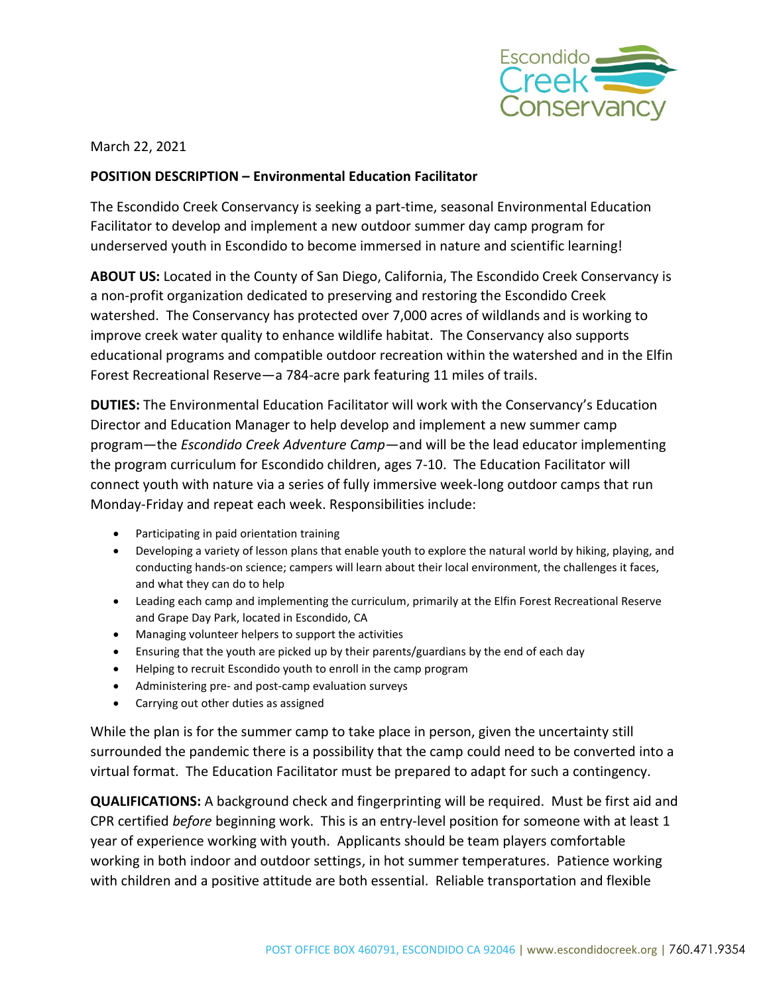

March 22, 2021

## **POSITION DESCRIPTION – Environmental Education Facilitator**

The Escondido Creek Conservancy is seeking a part-time, seasonal Environmental Education Facilitator to develop and implement a new outdoor summer day camp program for underserved youth in Escondido to become immersed in nature and scientific learning!

**ABOUT US:** Located in the County of San Diego, California, The Escondido Creek Conservancy is a non-profit organization dedicated to preserving and restoring the Escondido Creek watershed. The Conservancy has protected over 7,000 acres of wildlands and is working to improve creek water quality to enhance wildlife habitat. The Conservancy also supports educational programs and compatible outdoor recreation within the watershed and in the Elfin Forest Recreational Reserve—a 784-acre park featuring 11 miles of trails.

**DUTIES:** The Environmental Education Facilitator will work with the Conservancy's Education Director and Education Manager to help develop and implement a new summer camp program—the *Escondido Creek Adventure Camp*—and will be the lead educator implementing the program curriculum for Escondido children, ages 7-10. The Education Facilitator will connect youth with nature via a series of fully immersive week-long outdoor camps that run Monday-Friday and repeat each week. Responsibilities include:

- Participating in paid orientation training
- Developing a variety of lesson plans that enable youth to explore the natural world by hiking, playing, and conducting hands-on science; campers will learn about their local environment, the challenges it faces, and what they can do to help
- Leading each camp and implementing the curriculum, primarily at the Elfin Forest Recreational Reserve and Grape Day Park, located in Escondido, CA
- Managing volunteer helpers to support the activities
- Ensuring that the youth are picked up by their parents/guardians by the end of each day
- Helping to recruit Escondido youth to enroll in the camp program
- Administering pre- and post-camp evaluation surveys
- Carrying out other duties as assigned

While the plan is for the summer camp to take place in person, given the uncertainty still surrounded the pandemic there is a possibility that the camp could need to be converted into a virtual format. The Education Facilitator must be prepared to adapt for such a contingency.

**QUALIFICATIONS:** A background check and fingerprinting will be required. Must be first aid and CPR certified *before* beginning work. This is an entry-level position for someone with at least 1 year of experience working with youth. Applicants should be team players comfortable working in both indoor and outdoor settings, in hot summer temperatures. Patience working with children and a positive attitude are both essential. Reliable transportation and flexible